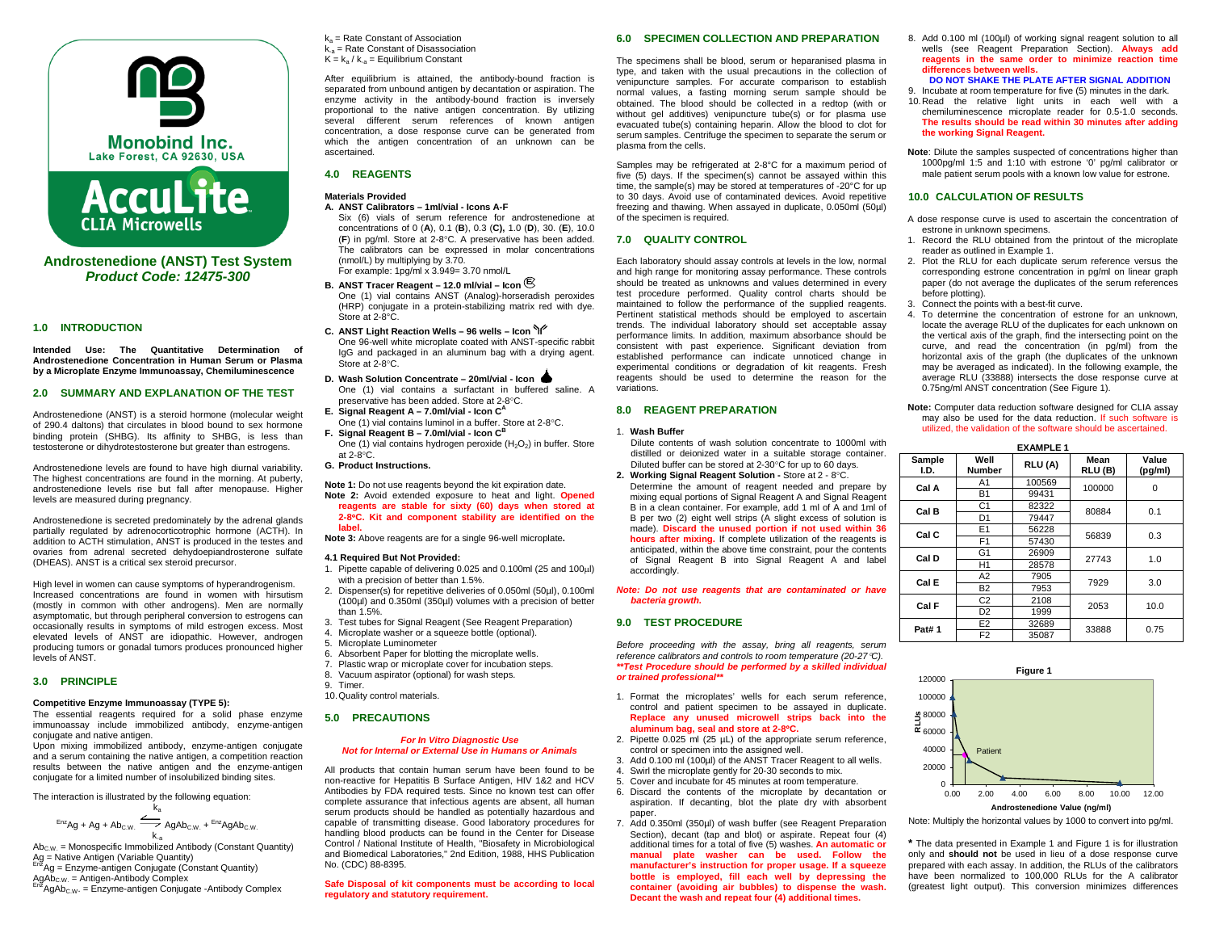

**Androstenedione (ANST) Test System** *Product Code: 12475-300*

**CLIA Microwells** 

### **1.0 INTRODUCTION**

**Intended Use: The Quantitative Determination of Androstenedione Concentration in Human Serum or Plasma by a Microplate Enzyme Immunoassay, Chemiluminescence**

# **2.0 SUMMARY AND EXPLANATION OF THE TEST**

Androstenedione (ANST) is a steroid hormone (molecular weight of 290.4 daltons) that circulates in blood bound to sex hormone binding protein (SHBG). Its affinity to SHBG, is less than testosterone or dihydrotestosterone but greater than estrogens.

Androstenedione levels are found to have high diurnal variability. The highest concentrations are found in the morning. At puberty, androstenedione levels rise but fall after menopause. Higher levels are measured during pregnancy.

Androstenedione is secreted predominately by the adrenal glands partially regulated by adrenocorticotrophic hormone (ACTH). In addition to ACTH stimulation, ANST is produced in the testes and ovaries from adrenal secreted dehydoepiandrosterone sulfate (DHEAS). ANST is a critical sex steroid precursor.

High level in women can cause symptoms of hyperandrogenism. Increased concentrations are found in women with hirsutism (mostly in common with other androgens). Men are normally asymptomatic, but through peripheral conversion to estrogens can occasionally results in symptoms of mild estrogen excess. Most elevated levels of ANST are idiopathic. However, androgen producing tumors or gonadal tumors produces pronounced higher levels of ANST.

# **3.0 PRINCIPLE**

#### **Competitive Enzyme Immunoassay (TYPE 5):**

The essential reagents required for a solid phase enzyme immunoassay include immobilized antibody, enzyme-antigen conjugate and native antigen.

Upon mixing immobilized antibody, enzyme-antigen conjugate and a serum containing the native antigen, a competition reaction results between the native antigen and the enzyme-antigen conjugate for a limited number of insolubilized binding sites.

The interaction is illustrated by the following equation:

$$
^{Enz}Ag + Ag + Ab_{C.W.} \xrightarrow{k_a} AgAb_{C.W.} + {}^{Enz}AgAb_{C.W.}
$$

k. $_{\mathrm{a}}$ <br>Ab<sub>C.W.</sub> = Monospecific Immobilized Antibody (Constant Quantity) Ag = Native Antigen (Variable Quantity)<br><sup>Enz</sup>Ag = Enzyme-antigen Conjugate (Constant Quantity)

 $AgAb_{\text{CW}} = \text{Antigen-Antibody Complex}$ <br>  $E_{\text{PZ}}$ AgAb<sub>C.W.</sub> = Enzyme-antigen Conjugate -Antibody Complex

 $k<sub>a</sub>$  = Rate Constant of Association k-a = Rate Constant of Disassociation  $K = k_a / k_{a} =$  Equilibrium Constant

After equilibrium is attained, the antibody-bound fraction is separated from unbound antigen by decantation or aspiration. The enzyme activity in the antibody-bound fraction is inversely proportional to the native antigen concentration. By utilizing several different serum references of known antigen concentration, a dose response curve can be generated from which the antigen concentration of an unknown can be ascertained.

### **4.0 REAGENTS**

#### **Materials Provided A. ANST Calibrators – 1ml/vial - Icons A-F**

Six (6) vials of serum reference for androstenedione at concentrations of 0 (**A**), 0.1 (**B**), 0.3 (**C),** 1.0 (**D**), 30. (**E**), 10.0 (**F**) in pg/ml. Store at 2-8°C. A preservative has been added. The calibrators can be expressed in molar concentrations (nmol/L) by multiplying by 3.70. For example: 1pg/ml x 3.949= 3.70 nmol/L

- **B. ANST Tracer Reagent – 12.0 ml/vial – Icon E** One (1) vial contains ANST (Analog)-horseradish peroxides (HRP) conjugate in a protein-stabilizing matrix red with dye. Store at 2-8°C.
- **C. ANST Light Reaction Wells – 96 wells – Icon**  One 96-well white microplate coated with ANST-specific rabbit IgG and packaged in an aluminum bag with a drying agent. Store at 2-8°C.
- **D. Wash Solution Concentrate – 20ml/vial - Icon**  One (1) vial contains a surfactant in buffered saline. A preservative has been added. Store at 2-8°C.
- **E.** Signal Reagent A 7.0ml/vial Icon C<sup>A</sup> One (1) vial contains luminol in a buffer. Store at 2-8°C. **F. Signal Reagent B – 7.0ml/vial - Icon CB**
- One (1) vial contains hydrogen peroxide  $(H<sub>2</sub>O<sub>2</sub>)$  in buffer. Store at 2-8°C.
- **G. Product Instructions.**

**Note 1:** Do not use reagents beyond the kit expiration date. **Note 2:** Avoid extended exposure to heat and light. **Opened reagents are stable for sixty (60) days when stored at 2-8**°**C. Kit and component stability are identified on the label.**

**Note 3:** Above reagents are for a single 96-well microplate**.**

#### **4.1 Required But Not Provided:**

- 1. Pipette capable of delivering 0.025 and 0.100ml (25 and 100µl) with a precision of better than 1.5%.
- 2. Dispenser(s) for repetitive deliveries of 0.050ml (50µl), 0.100ml (100µl) and 0.350ml (350µl) volumes with a precision of better than 1.5%.
- 3. Test tubes for Signal Reagent (See Reagent Preparation)
- 4. Microplate washer or a squeeze bottle (optional).
- Microplate Luminometer
- 6. Absorbent Paper for blotting the microplate wells.
- Plastic wrap or microplate cover for incubation steps.
- 8. Vacuum aspirator (optional) for wash steps.
- 9. Timer.
- 10.Quality control materials.

# **5.0 PRECAUTIONS**

### *For In Vitro Diagnostic Use Not for Internal or External Use in Humans or Animals*

All products that contain human serum have been found to be non-reactive for Hepatitis B Surface Antigen, HIV 1&2 and HCV Antibodies by FDA required tests. Since no known test can offer complete assurance that infectious agents are absent, all human serum products should be handled as potentially hazardous and capable of transmitting disease. Good laboratory procedures for handling blood products can be found in the Center for Disease Control / National Institute of Health, "Biosafety in Microbiological and Biomedical Laboratories," 2nd Edition, 1988, HHS Publication No. (CDC) 88-8395.

#### **Safe Disposal of kit components must be according to local regulatory and statutory requirement.**

# **6.0 SPECIMEN COLLECTION AND PREPARATION**

The specimens shall be blood, serum or heparanised plasma in type, and taken with the usual precautions in the collection of venipuncture samples. For accurate comparison to establish normal values, a fasting morning serum sample should be obtained. The blood should be collected in a redtop (with or without gel additives) venipuncture tube(s) or for plasma use evacuated tube(s) containing heparin. Allow the blood to clot for serum samples. Centrifuge the specimen to separate the serum or plasma from the cells.

Samples may be refrigerated at 2-8°C for a maximum period of five (5) days. If the specimen(s) cannot be assayed within this time, the sample(s) may be stored at temperatures of -20°C for up to 30 days. Avoid use of contaminated devices. Avoid repetitive freezing and thawing. When assayed in duplicate, 0.050ml (50µl) of the specimen is required.

# **7.0 QUALITY CONTROL**

Each laboratory should assay controls at levels in the low, normal and high range for monitoring assay performance. These controls should be treated as unknowns and values determined in every test procedure performed. Quality control charts should be maintained to follow the performance of the supplied reagents. Pertinent statistical methods should be employed to ascertain trends. The individual laboratory should set acceptable assay performance limits. In addition, maximum absorbance should be consistent with past experience. Significant deviation from established performance can indicate unnoticed change in experimental conditions or degradation of kit reagents. Fresh reagents should be used to determine the reason for the variations.

# **8.0 REAGENT PREPARATION**

#### 1. **Wash Buffer**

- Dilute contents of wash solution concentrate to 1000ml with distilled or deionized water in a suitable storage container. Diluted buffer can be stored at 2-30°C for up to 60 days.
- **2. Working Signal Reagent Solution -** Store at 2 8°C. Determine the amount of reagent needed and prepare by mixing equal portions of Signal Reagent A and Signal Reagent B in a clean container. For example, add 1 ml of A and 1ml of B per two (2) eight well strips (A slight excess of solution is made). **Discard the unused portion if not used within 36 hours after mixing.** If complete utilization of the reagents is anticipated, within the above time constraint, pour the contents of Signal Reagent B into Signal Reagent A and label accordingly.

*Note: Do not use reagents that are contaminated or have bacteria growth.*

# **9.0 TEST PROCEDURE**

*Before proceeding with the assay, bring all reagents, serum reference calibrators and controls to room temperature (20-27*°*C). \*\*Test Procedure should be performed by a skilled individual or trained professional\*\**

- 1. Format the microplates' wells for each serum reference, control and patient specimen to be assayed in duplicate. **Replace any unused microwell strips back into the aluminum bag, seal and store at 2-8**°**C.**
- 2. Pipette 0.025 ml (25 µL) of the appropriate serum reference,
- control or specimen into the assigned well.
- 3. Add 0.100 ml (100µl) of the ANST Tracer Reagent to all wells. 4. Swirl the microplate gently for 20-30 seconds to mix.
- 5. Cover and incubate for 45 minutes at room temperature.
- 6. Discard the contents of the microplate by decantation or aspiration. If decanting, blot the plate dry with absorbent paper.
- 7. Add 0.350ml (350µl) of wash buffer (see Reagent Preparation Section), decant (tap and blot) or aspirate. Repeat four (4) additional times for a total of five (5) washes. **An automatic or manual plate washer can be used. Follow the manufacturer's instruction for proper usage. If a squeeze bottle is employed, fill each well by depressing the container (avoiding air bubbles) to dispense the wash. Decant the wash and repeat four (4) additional times.**
- 8. Add 0.100 ml (100µl) of working signal reagent solution to all wells (see Reagent Preparation Section). **Always add reagents in the same order to minimize reaction time differences between wells.**
- **DO NOT SHAKE THE PLATE AFTER SIGNAL ADDITION** 9. Incubate at room temperature for five (5) minutes in the dark.
- 10.Read the relative light units in each well with a chemiluminescence microplate reader for 0.5-1.0 seconds. **The results should be read within 30 minutes after adding the working Signal Reagent.**
- **Note**: Dilute the samples suspected of concentrations higher than 1000pg/ml 1:5 and 1:10 with estrone '0' pg/ml calibrator or male patient serum pools with a known low value for estrone.

# **10.0 CALCULATION OF RESULTS**

- A dose response curve is used to ascertain the concentration of estrone in unknown specimens.
- 1. Record the RLU obtained from the printout of the microplate reader as outlined in Example 1.
- 2. Plot the RLU for each duplicate serum reference versus the corresponding estrone concentration in pg/ml on linear graph paper (do not average the duplicates of the serum references before plotting).
- 3. Connect the points with a best-fit curve.
- 4. To determine the concentration of estrone for an unknown, locate the average RLU of the duplicates for each unknown on the vertical axis of the graph, find the intersecting point on the curve, and read the concentration (in pg/ml) from the horizontal axis of the graph (the duplicates of the unknown may be averaged as indicated). In the following example, the average RLU (33888) intersects the dose response curve at 0.75ng/ml ANST concentration (See Figure 1).

#### **Note:** Computer data reduction software designed for CLIA assay may also be used for the data reduction. If such software is utilized, the validation of the software should be ascertained.

| <b>EXAMPLE 1</b> |                |        |                |                  |
|------------------|----------------|--------|----------------|------------------|
| Sample<br>I.D.   | Well<br>Number | RLU(A) | Mean<br>RLU(B) | Value<br>(pg/ml) |
| Cal A            | A1             | 100569 | 100000         | 0                |
|                  | <b>B1</b>      | 99431  |                |                  |
| Cal B            | C <sub>1</sub> | 82322  | 80884          | 0.1              |
|                  | D <sub>1</sub> | 79447  |                |                  |
| Cal C            | E1             | 56228  | 56839          | 0.3              |
|                  | F <sub>1</sub> | 57430  |                |                  |
| Cal D            | G <sub>1</sub> | 26909  | 27743          | 1.0              |
|                  | H1             | 28578  |                |                  |
| Cal E            | A2             | 7905   | 7929<br>3.0    |                  |
|                  | <b>B2</b>      | 7953   |                |                  |
| Cal F            | C <sub>2</sub> | 2108   | 2053           | 10.0             |
|                  | D <sub>2</sub> | 1999   |                |                  |
| <b>Pat#1</b>     | E <sub>2</sub> | 32689  | 33888          | 0.75             |
|                  | F <sub>2</sub> | 35087  |                |                  |



Note: Multiply the horizontal values by 1000 to convert into pg/ml.

**\*** The data presented in Example 1 and Figure 1 is for illustration only and **should not** be used in lieu of a dose response curve prepared with each assay. In addition, the RLUs of the calibrators have been normalized to 100,000 RLUs for the A calibrator (greatest light output). This conversion minimizes differences